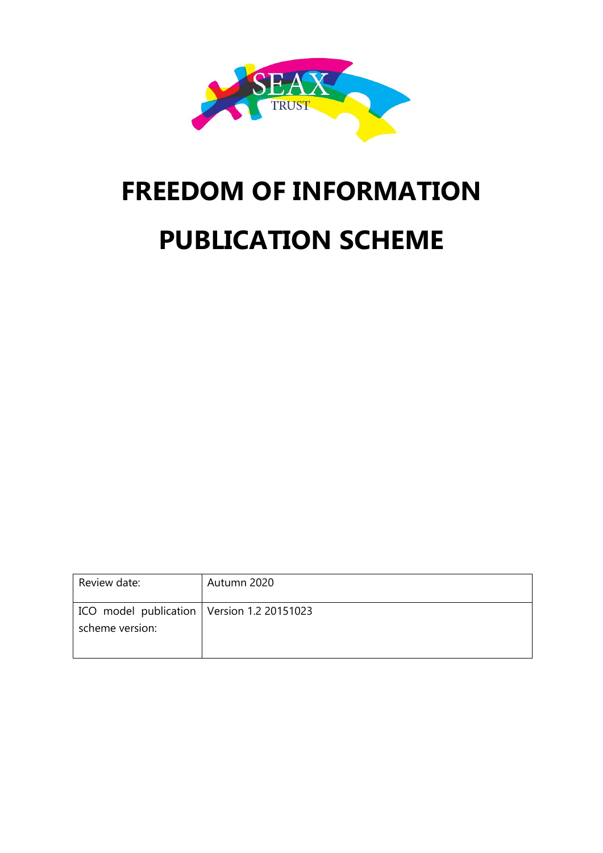

# **FREEDOM OF INFORMATION PUBLICATION SCHEME**

| Review date:                                                    | Autumn 2020 |
|-----------------------------------------------------------------|-------------|
| ICO model publication   Version 1.2 20151023<br>scheme version: |             |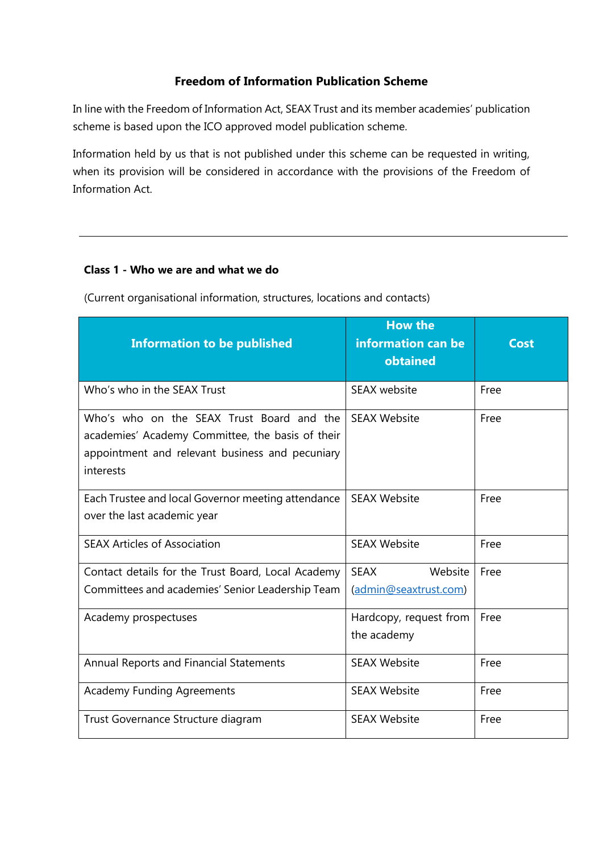#### **Freedom of Information Publication Scheme**

In line with the Freedom of Information Act, SEAX Trust and its member academies' publication scheme is based upon the ICO approved model publication scheme.

Information held by us that is not published under this scheme can be requested in writing, when its provision will be considered in accordance with the provisions of the Freedom of Information Act.

#### **Class 1 - Who we are and what we do**

(Current organisational information, structures, locations and contacts)

| <b>Information to be published</b>                                                                                                                            | <b>How the</b><br>information can be<br>obtained | <b>Cost</b> |
|---------------------------------------------------------------------------------------------------------------------------------------------------------------|--------------------------------------------------|-------------|
| Who's who in the SEAX Trust                                                                                                                                   | SEAX website                                     | Free        |
| Who's who on the SEAX Trust Board and the<br>academies' Academy Committee, the basis of their<br>appointment and relevant business and pecuniary<br>interests | <b>SEAX Website</b>                              | Free        |
| Each Trustee and local Governor meeting attendance<br>over the last academic year                                                                             | <b>SEAX Website</b>                              | Free        |
| <b>SEAX Articles of Association</b>                                                                                                                           | <b>SEAX Website</b>                              | Free        |
| Contact details for the Trust Board, Local Academy<br>Committees and academies' Senior Leadership Team                                                        | <b>SEAX</b><br>Website<br>(admin@seaxtrust.com)  | Free        |
| Academy prospectuses                                                                                                                                          | Hardcopy, request from<br>the academy            | Free        |
| Annual Reports and Financial Statements                                                                                                                       | <b>SEAX Website</b>                              | Free        |
| <b>Academy Funding Agreements</b>                                                                                                                             | <b>SEAX Website</b>                              | Free        |
| Trust Governance Structure diagram                                                                                                                            | <b>SEAX Website</b>                              | Free        |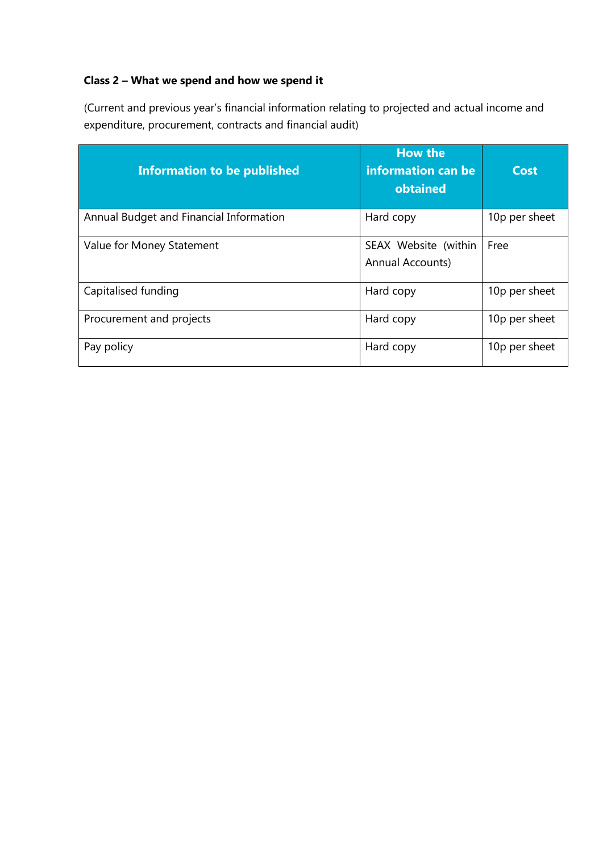## **Class 2 – What we spend and how we spend it**

(Current and previous year's financial information relating to projected and actual income and expenditure, procurement, contracts and financial audit)

| <b>Information to be published</b>      | <b>How the</b><br>information can be<br>obtained | <b>Cost</b>   |
|-----------------------------------------|--------------------------------------------------|---------------|
| Annual Budget and Financial Information | Hard copy                                        | 10p per sheet |
| Value for Money Statement               | SEAX Website (within<br><b>Annual Accounts)</b>  | Free          |
| Capitalised funding                     | Hard copy                                        | 10p per sheet |
| Procurement and projects                | Hard copy                                        | 10p per sheet |
| Pay policy                              | Hard copy                                        | 10p per sheet |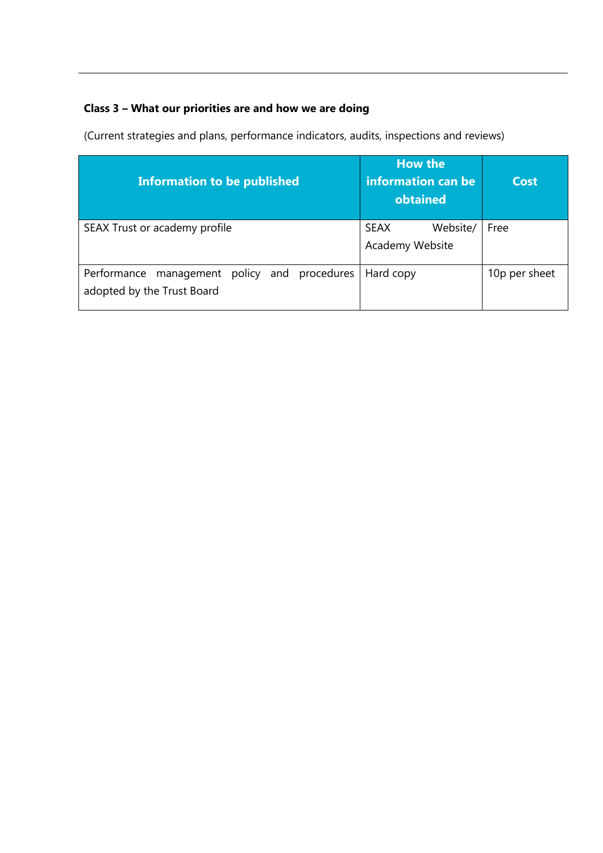# **Class 3 – What our priorities are and how we are doing**

(Current strategies and plans, performance indicators, audits, inspections and reviews)

| <b>Information to be published</b>                                         | <b>How the</b><br>information can be<br>obtained | Cost          |
|----------------------------------------------------------------------------|--------------------------------------------------|---------------|
| SEAX Trust or academy profile                                              | SEAX<br>Website/<br>Academy Website              | Free          |
| Performance management policy and procedures<br>adopted by the Trust Board | Hard copy                                        | 10p per sheet |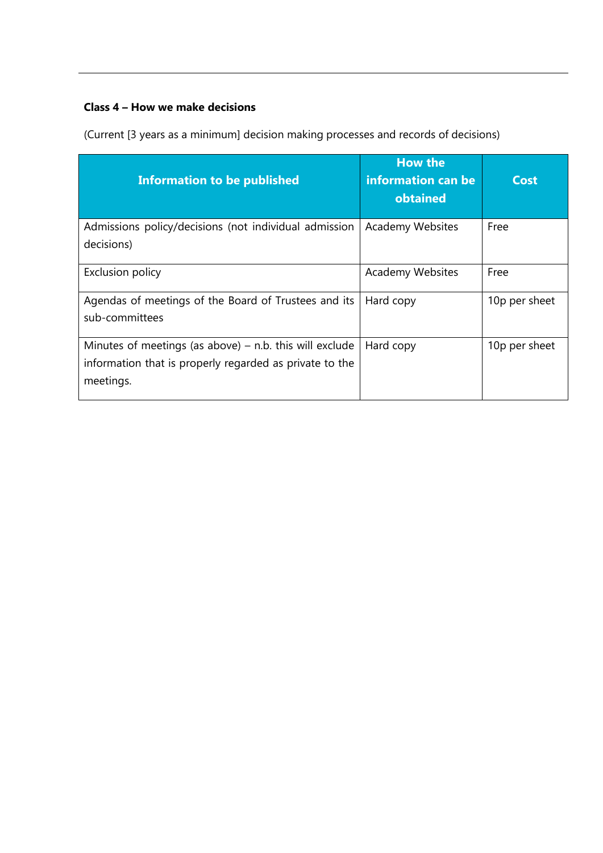## **Class 4 – How we make decisions**

(Current [3 years as a minimum] decision making processes and records of decisions)

| <b>Information to be published</b>                                                                                                | <b>How the</b><br>information can be<br>obtained | Cost          |
|-----------------------------------------------------------------------------------------------------------------------------------|--------------------------------------------------|---------------|
| Admissions policy/decisions (not individual admission<br>decisions)                                                               | <b>Academy Websites</b>                          | Free          |
| <b>Exclusion policy</b>                                                                                                           | <b>Academy Websites</b>                          | Free          |
| Agendas of meetings of the Board of Trustees and its<br>sub-committees                                                            | Hard copy                                        | 10p per sheet |
| Minutes of meetings (as above) $-$ n.b. this will exclude<br>information that is properly regarded as private to the<br>meetings. | Hard copy                                        | 10p per sheet |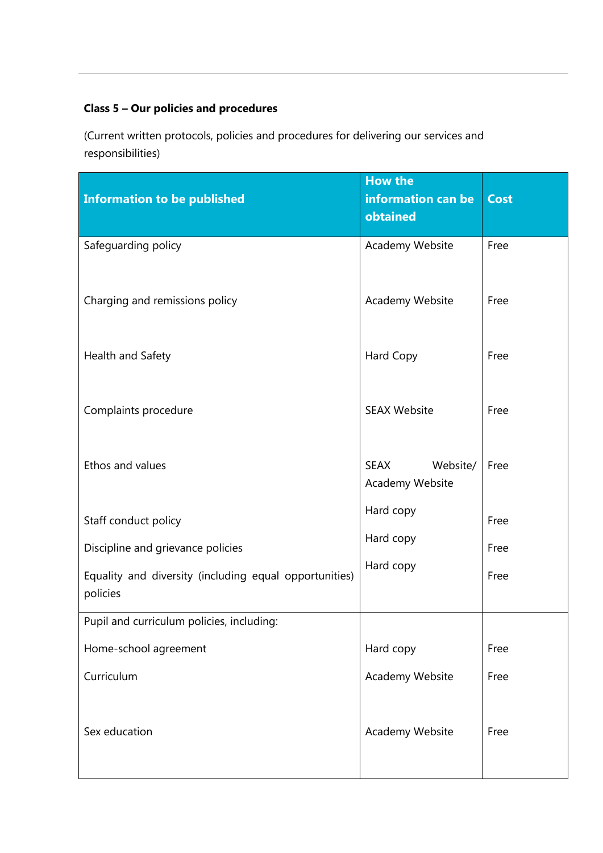# **Class 5 – Our policies and procedures**

(Current written protocols, policies and procedures for delivering our services and responsibilities)

| <b>Information to be published</b>                                 | <b>How the</b><br>information can be<br>obtained | <b>Cost</b> |
|--------------------------------------------------------------------|--------------------------------------------------|-------------|
| Safeguarding policy                                                | Academy Website                                  | Free        |
| Charging and remissions policy                                     | Academy Website                                  | Free        |
| Health and Safety                                                  | Hard Copy                                        | Free        |
| Complaints procedure                                               | <b>SEAX Website</b>                              | Free        |
| Ethos and values                                                   | <b>SEAX</b><br>Website/<br>Academy Website       | Free        |
| Staff conduct policy                                               | Hard copy                                        | Free        |
| Discipline and grievance policies                                  | Hard copy                                        | Free        |
| Equality and diversity (including equal opportunities)<br>policies | Hard copy                                        | Free        |
| Pupil and curriculum policies, including:                          |                                                  |             |
| Home-school agreement                                              | Hard copy                                        | Free        |
| Curriculum                                                         | Academy Website                                  | Free        |
| Sex education                                                      | Academy Website                                  | Free        |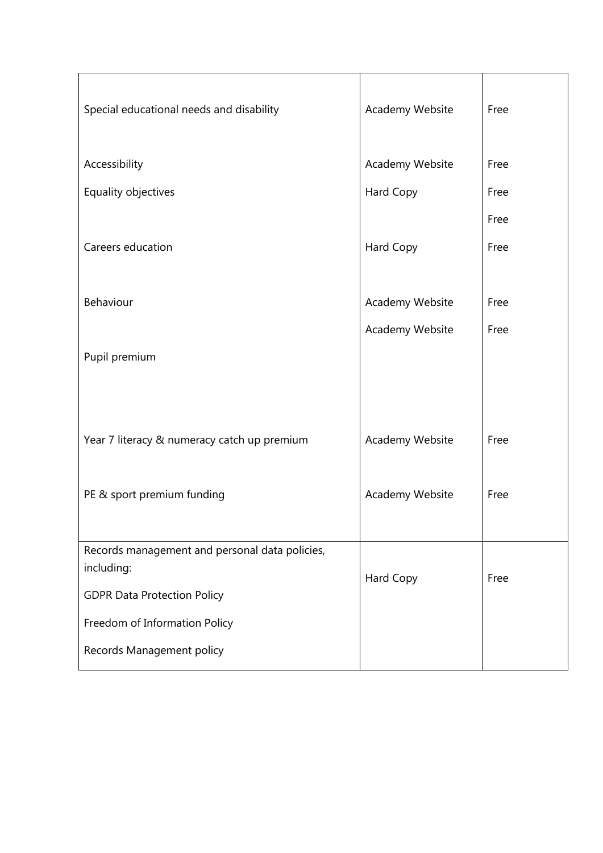| Special educational needs and disability       | Academy Website | Free |
|------------------------------------------------|-----------------|------|
| Accessibility                                  | Academy Website | Free |
| Equality objectives                            | Hard Copy       | Free |
|                                                |                 | Free |
| Careers education                              | Hard Copy       | Free |
|                                                |                 |      |
| Behaviour                                      | Academy Website | Free |
|                                                | Academy Website | Free |
| Pupil premium                                  |                 |      |
|                                                |                 |      |
|                                                |                 |      |
| Year 7 literacy & numeracy catch up premium    | Academy Website | Free |
|                                                |                 |      |
| PE & sport premium funding                     | Academy Website | Free |
|                                                |                 |      |
| Records management and personal data policies, |                 |      |
| including:                                     | Hard Copy       | Free |
| <b>GDPR Data Protection Policy</b>             |                 |      |
| Freedom of Information Policy                  |                 |      |
| Records Management policy                      |                 |      |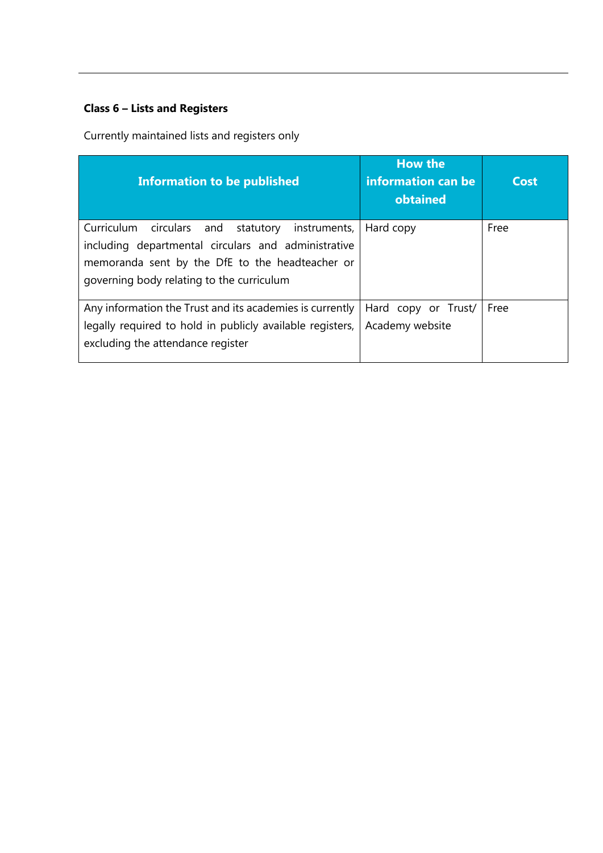# **Class 6 – Lists and Registers**

Currently maintained lists and registers only

| <b>Information to be published</b>                                                                                                                                                                     | <b>How the</b><br>information can be<br>obtained | Cost |
|--------------------------------------------------------------------------------------------------------------------------------------------------------------------------------------------------------|--------------------------------------------------|------|
| Curriculum circulars and statutory instruments,<br>including departmental circulars and administrative<br>memoranda sent by the DfE to the headteacher or<br>governing body relating to the curriculum | Hard copy                                        | Free |
| Any information the Trust and its academies is currently<br>legally required to hold in publicly available registers,<br>excluding the attendance register                                             | Hard copy or Trust/<br>Academy website           | Free |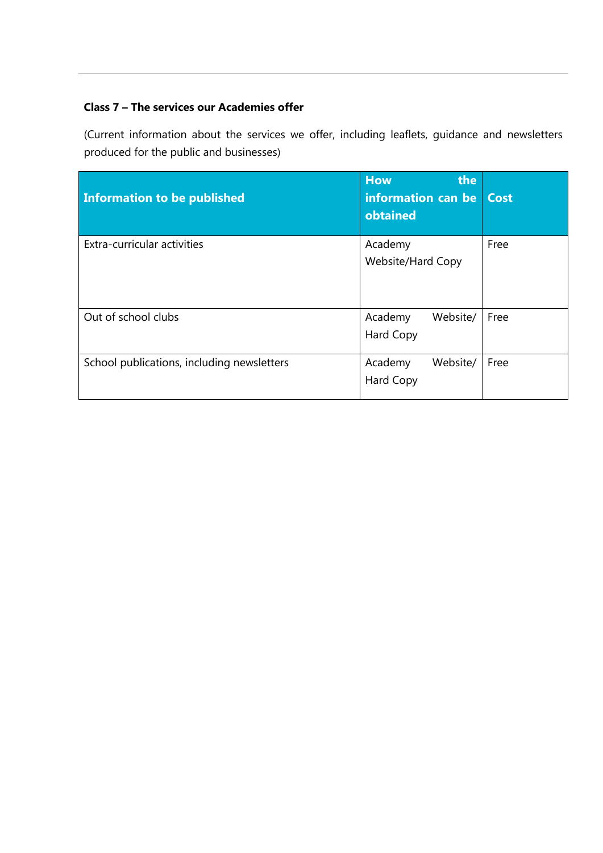## **Class 7 – The services our Academies offer**

(Current information about the services we offer, including leaflets, guidance and newsletters produced for the public and businesses)

| Information to be published                | <b>How</b><br>the<br>information can be   Cost<br>obtained |      |
|--------------------------------------------|------------------------------------------------------------|------|
| Extra-curricular activities                | Academy<br>Website/Hard Copy                               | Free |
| Out of school clubs                        | Website/<br>Academy<br>Hard Copy                           | Free |
| School publications, including newsletters | Website/<br>Academy<br>Hard Copy                           | Free |